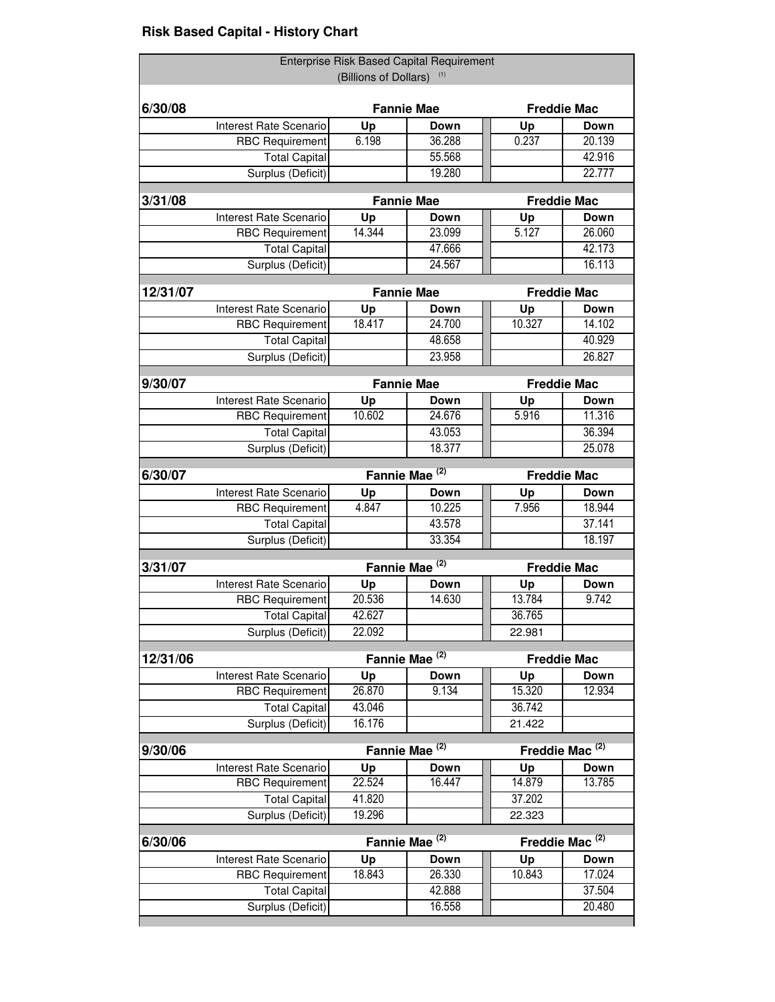## **Risk Based Capital - History Chart**

|          |                               | (Billions of Dollars)     | Enterprise Risk Based Capital Requirement<br>(1) |                            |             |  |
|----------|-------------------------------|---------------------------|--------------------------------------------------|----------------------------|-------------|--|
| 6/30/08  |                               |                           | <b>Fannie Mae</b>                                | <b>Freddie Mac</b>         |             |  |
|          | Interest Rate Scenario        | Up                        | Down                                             | Up                         | Down        |  |
|          | <b>RBC Requirement</b>        | 6.198                     | 36.288                                           | 0.237                      | 20.139      |  |
|          | <b>Total Capital</b>          |                           | 55.568                                           |                            | 42.916      |  |
|          | Surplus (Deficit)             |                           | 19.280                                           |                            | 22.777      |  |
|          |                               |                           |                                                  |                            |             |  |
| 3/31/08  |                               |                           | <b>Fannie Mae</b>                                | <b>Freddie Mac</b>         |             |  |
|          | Interest Rate Scenario        | Up                        | Down                                             | Up                         | Down        |  |
|          | <b>RBC Requirement</b>        | 14.344                    | 23.099                                           | 5.127                      | 26,060      |  |
|          | <b>Total Capital</b>          |                           | 47.666                                           |                            | 42.173      |  |
|          | Surplus (Deficit)             |                           | 24.567                                           |                            | 16.113      |  |
| 12/31/07 |                               |                           | <b>Fannie Mae</b>                                | <b>Freddie Mac</b>         |             |  |
|          | Interest Rate Scenario        | Up                        | Down                                             | Up                         | <b>Down</b> |  |
|          | <b>RBC Requirement</b>        | 18.417                    | 24.700                                           | 10.327                     | 14.102      |  |
|          | <b>Total Capital</b>          |                           | 48.658                                           |                            | 40.929      |  |
|          | Surplus (Deficit)             |                           | 23.958                                           |                            | 26.827      |  |
| 9/30/07  | <b>Fannie Mae</b>             |                           |                                                  | <b>Freddie Mac</b>         |             |  |
|          | Interest Rate Scenario        | Up                        | Down                                             | Up                         | Down        |  |
|          | <b>RBC Requirement</b>        | 10.602                    | 24.676                                           | 5.916                      | 11.316      |  |
|          | <b>Total Capital</b>          |                           | 43.053                                           |                            | 36.394      |  |
|          | Surplus (Deficit)             |                           | 18.377                                           |                            | 25.078      |  |
|          |                               |                           |                                                  |                            |             |  |
| 6/30/07  |                               | Fannie Mae <sup>(2)</sup> |                                                  | <b>Freddie Mac</b>         |             |  |
|          | Interest Rate Scenario        | Up                        | Down                                             | Up                         | Down        |  |
|          | <b>RBC Requirement</b>        | 4.847                     | 10.225                                           | 7.956                      | 18.944      |  |
|          | <b>Total Capital</b>          |                           | 43.578                                           |                            | 37.141      |  |
|          | Surplus (Deficit)             |                           | 33.354                                           |                            | 18.197      |  |
| 3/31/07  |                               |                           | Fannie Mae <sup>(2)</sup>                        | <b>Freddie Mac</b>         |             |  |
|          | <b>Interest Rate Scenario</b> | Up                        | Down                                             | Up                         | <b>Down</b> |  |
|          | <b>RBC Requirement</b>        | 20.536                    | 14.630                                           | 13.784                     | 9.742       |  |
|          | <b>Total Capital</b>          | 42.627                    |                                                  | 36.765                     |             |  |
|          | Surplus (Deficit)             | 22.092                    |                                                  | 22.981                     |             |  |
| 12/31/06 |                               | Fannie Mae <sup>(2)</sup> |                                                  | <b>Freddie Mac</b>         |             |  |
|          |                               |                           |                                                  |                            |             |  |
|          |                               |                           |                                                  |                            |             |  |
|          | Interest Rate Scenario        | Up                        | Down                                             | Up                         | <b>Down</b> |  |
|          | <b>RBC Requirement</b>        | 26.870                    | 9.134                                            | 15.320                     | 12.934      |  |
|          | <b>Total Capital</b>          | 43.046                    |                                                  | 36.742                     |             |  |
|          | Surplus (Deficit)             | 16.176                    |                                                  | 21.422                     |             |  |
|          |                               |                           | Fannie Mae <sup>(2)</sup>                        | Freddie Mac <sup>(2)</sup> |             |  |
|          | Interest Rate Scenario        | Up                        | Down                                             | Up                         | <b>Down</b> |  |
|          | <b>RBC Requirement</b>        | 22.524                    | 16.447                                           | 14.879                     | 13.785      |  |
|          | <b>Total Capital</b>          | 41.820                    |                                                  | 37.202                     |             |  |
|          | Surplus (Deficit)             | 19.296                    |                                                  | 22.323                     |             |  |
| 6/30/06  |                               |                           | Fannie Mae <sup>(2)</sup>                        | Freddie Mac <sup>(2)</sup> |             |  |
|          | Interest Rate Scenario        | Up                        | Down                                             | Up                         | Down        |  |
|          | <b>RBC Requirement</b>        | 18.843                    | 26.330                                           | 10.843                     | 17.024      |  |
| 9/30/06  | <b>Total Capital</b>          |                           | 42.888                                           |                            | 37.504      |  |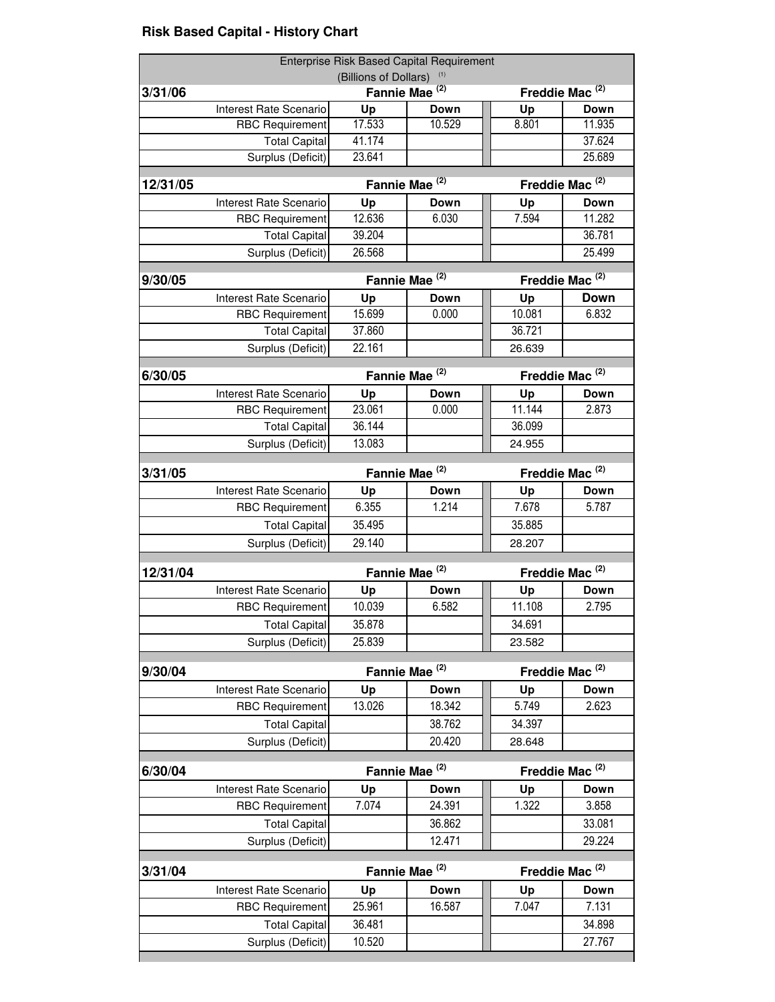## **Risk Based Capital - History Chart**

|          |                                           |                           | Enterprise Risk Based Capital Requirement |                            |                            |  |  |
|----------|-------------------------------------------|---------------------------|-------------------------------------------|----------------------------|----------------------------|--|--|
|          |                                           | (Billions of Dollars)     | (1)                                       |                            |                            |  |  |
| 3/31/06  |                                           |                           | Fannie Mae <sup>(2)</sup>                 | Freddie Mac <sup>(2)</sup> |                            |  |  |
|          | Interest Rate Scenario                    | Up<br>17.533              | Down<br>10.529                            | Up<br>8.801                | Down<br>11.935             |  |  |
|          | <b>RBC Requirement</b>                    | 41.174                    |                                           |                            | 37.624                     |  |  |
|          | <b>Total Capital</b><br>Surplus (Deficit) | 23.641                    |                                           |                            | 25.689                     |  |  |
|          |                                           |                           |                                           |                            |                            |  |  |
| 12/31/05 |                                           | Fannie Mae <sup>(2)</sup> |                                           |                            | Freddie Mac <sup>(2)</sup> |  |  |
|          | Interest Rate Scenario                    | Up                        | Down                                      | Up                         | Down                       |  |  |
|          | <b>RBC Requirement</b>                    | 12.636                    | 6.030                                     | 7.594                      | 11.282                     |  |  |
|          | <b>Total Capital</b>                      | 39.204                    |                                           |                            | 36.781                     |  |  |
|          | Surplus (Deficit)                         | 26.568                    |                                           |                            | 25.499                     |  |  |
| 9/30/05  | Fannie Mae <sup>(2)</sup>                 |                           |                                           | Freddie Mac <sup>(2)</sup> |                            |  |  |
|          | Interest Rate Scenario                    | Up                        | Down                                      | Up                         | <b>Down</b>                |  |  |
|          | <b>RBC Requirement</b>                    | 15.699                    | 0.000                                     | 10.081                     | 6.832                      |  |  |
|          | <b>Total Capital</b>                      | 37.860                    |                                           | 36.721                     |                            |  |  |
|          | Surplus (Deficit)                         | 22.161                    |                                           | 26.639                     |                            |  |  |
|          |                                           |                           |                                           |                            |                            |  |  |
| 6/30/05  |                                           |                           | Fannie Mae <sup>(2)</sup>                 | Freddie Mac <sup>(2)</sup> |                            |  |  |
|          | Interest Rate Scenario                    | Up                        | Down                                      | Up                         | Down                       |  |  |
|          | <b>RBC Requirement</b>                    | 23.061                    | 0.000                                     | 11.144                     | 2.873                      |  |  |
|          | <b>Total Capital</b>                      | 36.144                    |                                           | 36.099                     |                            |  |  |
|          | Surplus (Deficit)                         | 13.083                    |                                           | 24.955                     |                            |  |  |
| 3/31/05  | Fannie Mae <sup>(2)</sup>                 |                           |                                           | Freddie Mac <sup>(2)</sup> |                            |  |  |
|          | Interest Rate Scenario                    | Up                        | Down                                      | Up                         | Down                       |  |  |
|          | <b>RBC Requirement</b>                    | 6.355                     | 1.214                                     | 7.678                      | 5.787                      |  |  |
|          | <b>Total Capital</b>                      | 35.495                    |                                           | 35.885                     |                            |  |  |
|          | Surplus (Deficit)                         | 29.140                    |                                           | 28.207                     |                            |  |  |
|          |                                           |                           |                                           |                            |                            |  |  |
| 12/31/04 |                                           |                           | Fannie Mae <sup>(2)</sup>                 | Freddie Mac <sup>(2)</sup> |                            |  |  |
|          | Interest Rate Scenario                    | Up                        | Down                                      | Up                         | Down                       |  |  |
|          | <b>RBC Requirement</b>                    | 10.039                    | 6.582                                     | 11.108                     | 2.795                      |  |  |
|          | <b>Total Capital</b>                      | 35.878                    |                                           | 34.691                     |                            |  |  |
|          | Surplus (Deficit)                         | 25.839                    |                                           | 23.582                     |                            |  |  |
| 9/30/04  | Fannie Mae <sup>(2)</sup>                 |                           |                                           | Freddie Mac <sup>(2)</sup> |                            |  |  |
|          | <b>Interest Rate Scenario</b>             | Up                        | Down                                      | Up                         | Down                       |  |  |
|          | <b>RBC Requirement</b>                    | 13.026                    | 18.342                                    | 5.749                      | 2.623                      |  |  |
|          | <b>Total Capital</b>                      |                           | 38.762                                    | 34.397                     |                            |  |  |
|          | Surplus (Deficit)                         |                           | 20.420                                    | 28.648                     |                            |  |  |
|          |                                           |                           |                                           |                            |                            |  |  |
| 6/30/04  |                                           |                           | Fannie Mae <sup>(2)</sup>                 | Freddie Mac <sup>(2)</sup> |                            |  |  |
|          | Interest Rate Scenario                    | Up<br>7.074               | Down<br>24.391                            | Up<br>1.322                | Down                       |  |  |
|          | <b>RBC Requirement</b>                    |                           |                                           |                            | 3.858                      |  |  |
|          | <b>Total Capital</b>                      |                           | 36.862                                    |                            | 33.081                     |  |  |
|          | Surplus (Deficit)                         |                           | 12.471                                    |                            | 29.224                     |  |  |
| 3/31/04  |                                           | Fannie Mae <sup>(2)</sup> |                                           |                            | Freddie Mac <sup>(2)</sup> |  |  |
|          | Interest Rate Scenario                    | Up                        | Down                                      | Up                         | Down                       |  |  |
|          | <b>RBC Requirement</b>                    | 25.961                    | 16.587                                    | 7.047                      | 7.131                      |  |  |
|          | <b>Total Capital</b>                      | 36.481                    |                                           |                            | 34.898                     |  |  |
|          | Surplus (Deficit)                         | 10.520                    |                                           |                            | 27.767                     |  |  |
|          |                                           |                           |                                           |                            |                            |  |  |